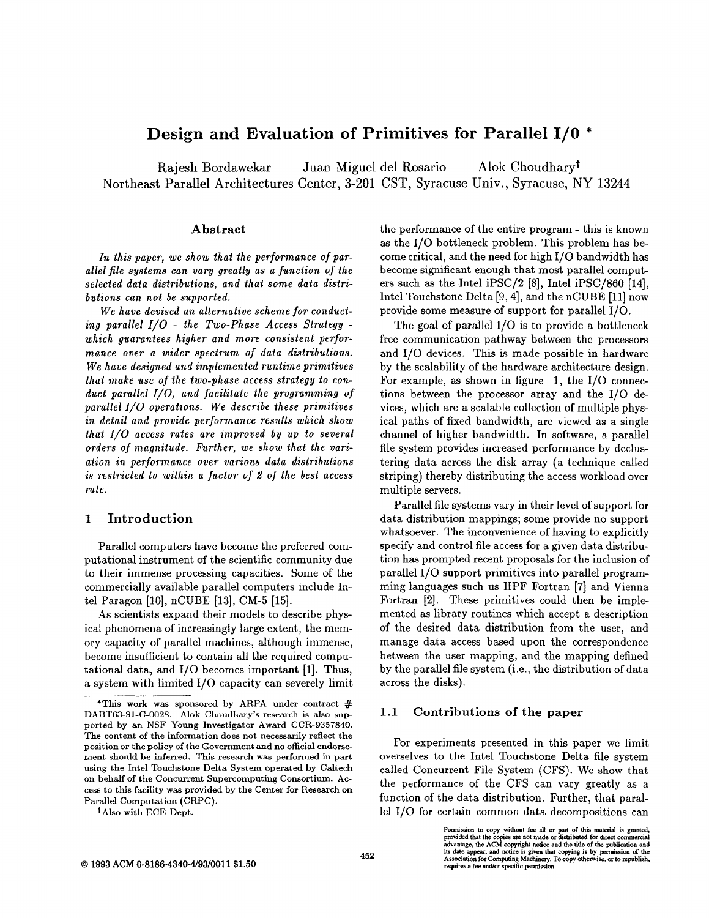# Design and Evaluation of Primitives for Parallel 1/0 \*

Rajesh Bordawekar Juan Miguel del Rosario Alok Choudharyt Northeast Parallel Architectures Center, 3-201 CST, Syracuse Univ., Syracuse, NY 13244

### Abstract

In this paper, we show that the performance of parallel file systems can vary greatly as a function of the selected data distributions, and that some data distributions can not be supported.

We have devised an alternative scheme for conducing parallel 1/0 - the Two-Phase Access Strategy which guarantees higher and more consistent performance over a wider spectrum of data distributions. We have designed and implemented runtime primitives that make use of the two-phase access strategy to conduct parallel I/O, and facilitate the programming of parallel I/O operations. We describe these primitives in detail and provide performance results which show that I/O access rates are improved by up to several orders of magnitude. Further, we show that the variation in performance over various data distributions is restricted to within a factor of 2 of the best access rate.

## 1 Introduction

Parallel computers have become the preferred computational instrument of the scientific community due to their immense processing capacities. Some of the commercially available parallel computers include Intel Paragon [10], nCUBE [13], CM-5 [15].

As scientists expand their models to describe physical phenomena of increasingly large extent, the memory capacity of parallel machines, although immense, become insufficient to contain all the required computational data, and 1/0 becomes important [1]. Thus, a system with limited 1/0 capacity can severely limit

t Also with ECE Dept.

the performance of the entire program - this is known as the 1/0 bottleneck problem. This problem has become critical, and the need for high 1/0 bandwidth has become significant enough that most parallel computers such as the Intel iPSC/2 [8], Intel iPSC/860 [14], Intel Touchstone Delta [9, 4], and the nCUBE [11] now provide some measure of support for parallel 1/0.

The goal of parallel 1/0 is to provide a bottleneck free communication pathway between the processors and 1/0 devices. This is made possible in hardware by the scalability of the hardware architecture design. For example, as shown in figure 1, the 1/0 connections between the processor array and the 1/0 devices, which are a scalable collection of multiple physical paths of fixed bandwidth, are viewed as a single channel of higher bandwidth. In software, a parallel file system provides increased performance by declustering data across the disk array (a technique called striping) thereby distributing the access workload over multiple servers.

Parallel file systems vary in their level of support for data distribution mappings; some provide no support whatsoever. The inconvenience of having to explicitly specify and control file access for a given data distribution has prompted recent proposals for the inclusion of parallel 1/0 support primitives into parallel programming languages such us HPF Fortran [7] and Vienna Fortran [2]. These primitives could then be implemented as library routines which accept a description of the desired data distribution from the user, and manage data access baaed upon the correspondence between the user mapping, and the mapping defined by the parallel file system (i.e., the distribution of data across the disks).

#### 1.1 Contributions of the paper

For experiments presented in this paper we limit overselves to the Intel Touchstone Delta file system called Concurrent File System (CFS). We show that the performance of the CFS can vary greatly as a function of the data distribution. Further, that parallel 1/0 for certain common data decompositions can

<sup>\*</sup>This work was sponsored by ARPA under contract  $#$ DABT63-91-C-O028. Alok Choudhary's research is also supported by an NSF Young Investigator Award CCR-9357840. The content of the information does not necessarily reflect the position or the policy of the Government and no official endorsement should be inferred. This research was performed in part using the Intel Touchstone Delta System operated by Caltech on behalf of the Concurrent Supercomputing Consortium. Access to this facility was provided by the Center for Research on Parallel Computation (CRPC).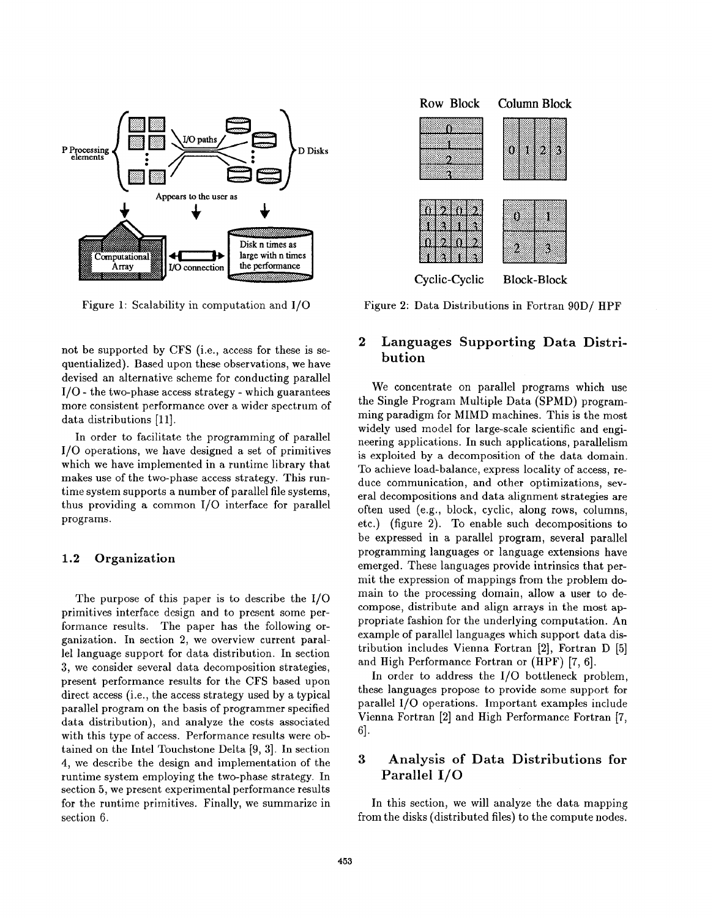

Figure 1: Scalability in computation and 1/0

not be supported by CFS (i.e., access for these is sequentialized). Based upon these observations, we have devised an alternative scheme for conducting parallel  $I/O$  - the two-phase access strategy - which guarantees more consistent performance over a wider spectrum of data distributions [11].

In order to facilitate the programming of parallel 1/0 operations, we have designed a set of primitives which we have implemented in a runtime library that makes use of the two-phase access strategy. This runtime system supports a number of parallel file systems, thus providing a common 1/0 interface for parallel programs.

### 1.2 Organization

The purpose of this paper is to describe the 1/0 primitives interface design and to present some performance results. The paper has the following organization. In section 2, we overview current parallel language support for data distribution. In section 3, we consider several data decomposition strategies, present performance results for the CFS based upon direct access (i.e., the access strategy used by a typical parallel program on the basis of programmer specified data distribution), and analyze the costs associated with this type of access. Performance results were obtained on the Intel Touchstone Delta [9, 3]. In section 4, we describe the design and implementation of the runtime system employing the two-phase strategy. In section 5, we present experimental performance results for the runtime primitives. Finally, we summarize in section 6.



Cyclic-Cyclic Block-Block

Figure 2: Data Distributions in Fortran 90D/ HPI

# 2 Languages Supporting Data Distribution

We concentrate on parallel programs which use the Single Program Multiple Data (SPMD) programming paradigm for MIMD machines. This is the most widely used model for large-scale scientific and engineering applications. In such applications, parallelism is exploited by a decomposition of the data domain. To achieve load-balance, express locality of access, reduce communication, and other optimizations, several decompositions and data alignment strategies are often used (e.g., block, cyclic, along rows, columns, etc.) (figure 2). To enable such decompositions to be expressed in a parallel program, several parallel programming languages or language extensions have emerged. These languages provide intrinsics that permit the expression of mappings from the problem domain to the processing domain, allow a user to decompose, distribute and align arrays in the most appropriate fashion for the underlying computation. An example of parallel languages which support data distribution includes Vienna Fortran [2], Fortran D [5] and High Performance Fortran or (HPF) [7, 6].

In order to address the 1/0 bottleneck problem, these languages propose to provide some support for parallel 1/0 operations. Important examples include Vienna Fortran [2] and High Performance Fortran [7, 6].

# 3 Analysis of Data Distributions for Parallel 1/0

In this section, we will analyze the data mapping from the disks (distributed files) to the compute nodes.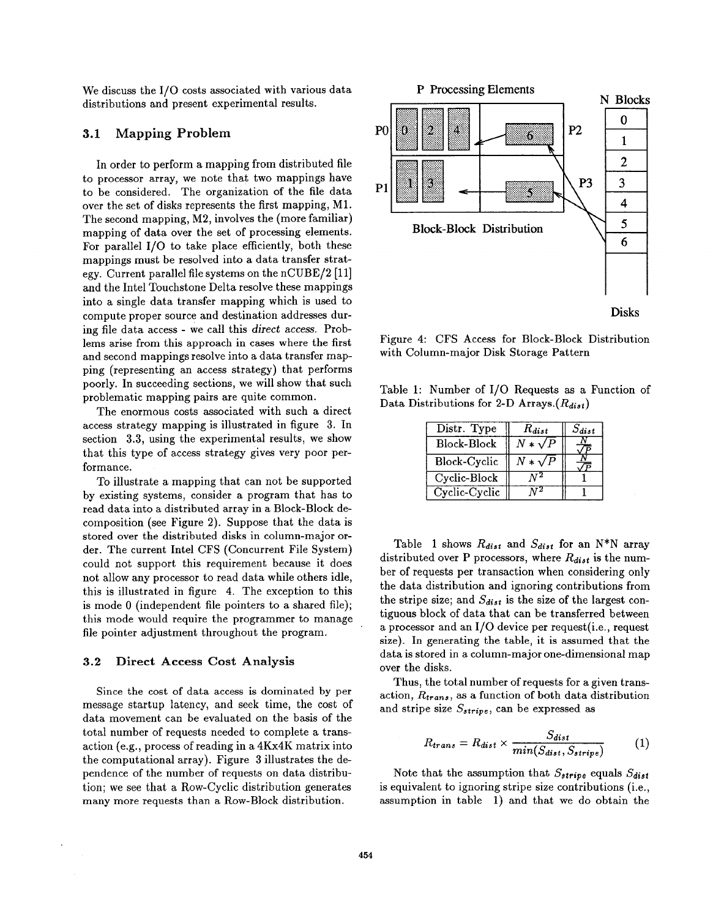We discuss the I/O costs associated with various data distributions and present experimental results.

# 3.1 Mapping Problem

In order to perform a mapping from distributed file to processor array, we note that two mappings have to be considered. The organization of the file data over the set of disks represents the first mapping, M1. The second mapping, M2, involves the (more familiar) mapping of data over the set of processing elements. For parallel 1/0 to take place efficiently, both these mappings must be resolved into a data transfer strategy. Current parallel file systems on the nCUBE/2 [11] and the Intel Touchstone Delta resolve these mappings into a single data transfer mapping which is used to compute proper source and destination addresses during file data access - we call this direct access. Problems arise from this approach in cases where the first and second mappings resolve into a data transfer mapping (representing an access strategy) that performs poorly. In succeeding sections, we will show that such problematic mapping pairs are quite common.

The enormous costs associated with such a direct access strategy mapping is illustrated in figure 3. In section  $3.3$ , using the experimental results, we show that this type of access strategy gives very poor performance.

To illustrate a mapping that can not be supported by existing systems, consider a program that has to read data into a distributed array in a Block-Block decomposition (see Figure 2). Suppose that the data is stored over the distributed disks in column-major order. The current Intel CFS (Concurrent File System) could not support this requirement because it does not allow any processor to read data while others idle, this is illustrated in figure 4. The exception to this is mode O (independent file pointers to a shared file); this mode would require the programmer to manage file pointer adjustment throughout the program.

#### 3.2 Direct Access Cost Analysis

Since the cost of data access is dominated by per message startup latency, and seek time, the cost of data movement can be evaluated on the basis of the total number of requests needed to complete a transaction (e.g., process of reading in a 4Kx4K matrix into the computational array). Figure 3 illustrates the dependence of the number of requests on data distribution; we see that a Row-Cyclic distribution generates many more requests than a Row-Block distribution.



Figure 4: CFS Access for Block-Block Distribution with Column-major Disk Storage Pattern

Table 1: Number of 1/0 Requests as a Function of Data Distributions for 2-D Arrays.  $(R_{dist})$ 

| Distr. Type        | $R_{dist}$     | $S_{dist}$ |
|--------------------|----------------|------------|
| <b>Block-Block</b> | $N*\sqrt{P}$   |            |
| Block-Cyclic       | $N * \sqrt{P}$ |            |
| Cyclic-Block       |                |            |
| Cyclic-Cyclic      |                |            |

Table 1 shows  $R_{dist}$  and  $S_{dist}$  for an N\*N array distributed over P processors, where  $R_{dist}$  is the number of requests per transaction when considering only the data distribution and ignoring contributions from the stripe size; and  $S_{dist}$  is the size of the largest contiguous block of data that can be transferred between a processor and an  $I/O$  device per request (i.e., request size). In generating the table, it is assumed that the data is stored in a column-major one-dimensional map over the disks.

Thus, the total number of requests for a given transaction,  $R_{trans}$ , as a function of both data distribution and stripe size  $S_{strip}$ , can be expressed as

$$
R_{trans} = R_{dist} \times \frac{S_{dist}}{min(S_{dist}, S_{strip})}
$$
 (1)

Note that the assumption that  $S_{strip}$  equals  $S_{dist}$ is equivalent to ignoring stripe size contributions (i.e., assumption in table 1) and that we do obtain the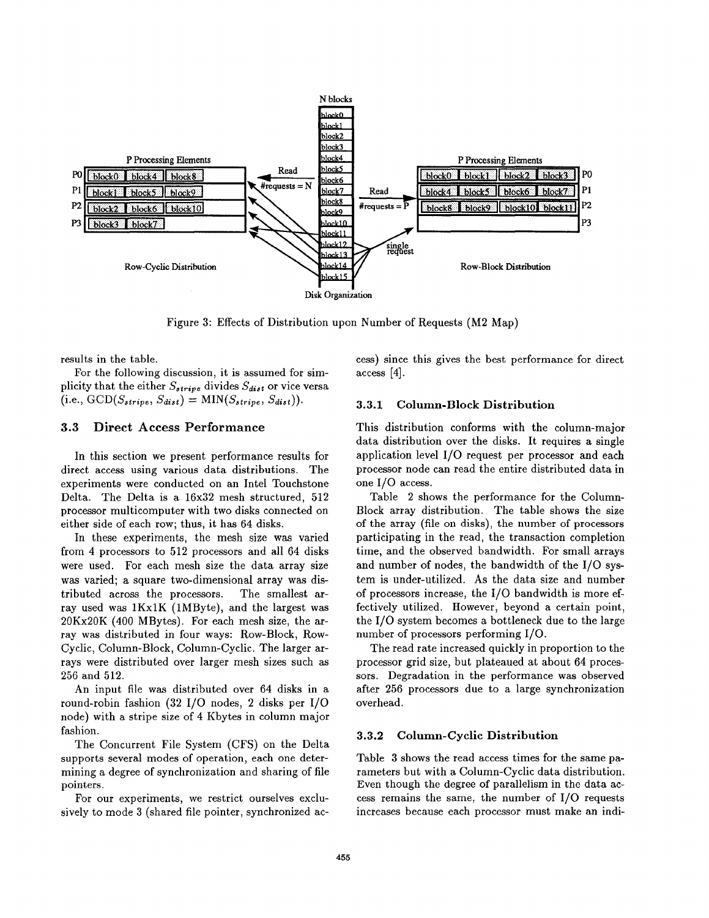

Figure 3: Effects of Distribution upon Number of Requests (M2 Map)

results in the table.

For the following discussion, it is assumed for simplicity that the either  $S_{strip}$  divides  $S_{dist}$  or vice versa  $(i.e., GCD(S_{stripe}, S_{dist}) = MIN(S_{stripe}, S_{dist}).$ 

### 3.3 Direct Access Performance

In this section we present performance results for direct access using various data distributions. The experiments were conducted on an Intel Touchstone Delta. The Delta is a 16x32 mesh structured, 512 processor multicomputer with two disks connected on either side of each row; thus, it has 64 disks.

In these experiments, the mesh size was varied from 4 processors to 512 processors and all 64 disks were used. For each mesh size the data array size was varied; a square two-dimensional array was distributed across the processors. The smallest array used was 1Kx1K (1MByte), and the largest was  $20$ Kx20K (400 MBytes). For each mesh size, the array was distributed in four ways: Row-Block, Row-Cyclic, Column-Block, Column-Cyclic. The larger arrays were distributed over larger mesh sizes such as 256 and 512.

An input file was distributed over 64 disks in a round-robin fashion (32 1/0 nodes, 2 disks per 1/0 node) with a stripe size of 4 Kbytes in column major fashion.

The Concurrent File System (CFS) on the Delta supports several modes of operation, each one determining a degree of synchronization and sharing of file pointers.

For our experiments, we restrict ourselves exclusively to mode 3 (shared file pointer, synchronized access) since this gives the best performance for direct access [4].

#### 3.3.1 Column-Block Distribution

This distribution conforms with the column-major data distribution over the disks. It requires a single application level 1/0 request per processor and each processor node can read the entire distributed data in one 1/0 access.

Table 2 shows the performance for the Column-Block array distribution. The table shows the size of the array (file on disks), the number of processors participating in the read, the transaction completion time, and the observed bandwidth. For small arrays and number of nodes, the bandwidth of the 1/0 system is under-utilized. As the data size and number of processors increase, the 1/0 bandwidth is more effectively utilized. However, beyond a certain point, the 1/0 system becomes a bottleneck due to the large number of processors performing 1/0.

The read rate increased quickly in proportion to the processor grid size, but plateaued at about 64 processors. Degradation in the performance was observed after 256 processors due to a large synchronization overhead.

### 3.3.2 Column-Cyclic Distribution

Table 3 shows the read access times for the same parameters but with a Column-Cyclic data distribution. Even though the degree of parallelism in the data access remains the same, the number of 1/0 requests increases because each processor must make an indi-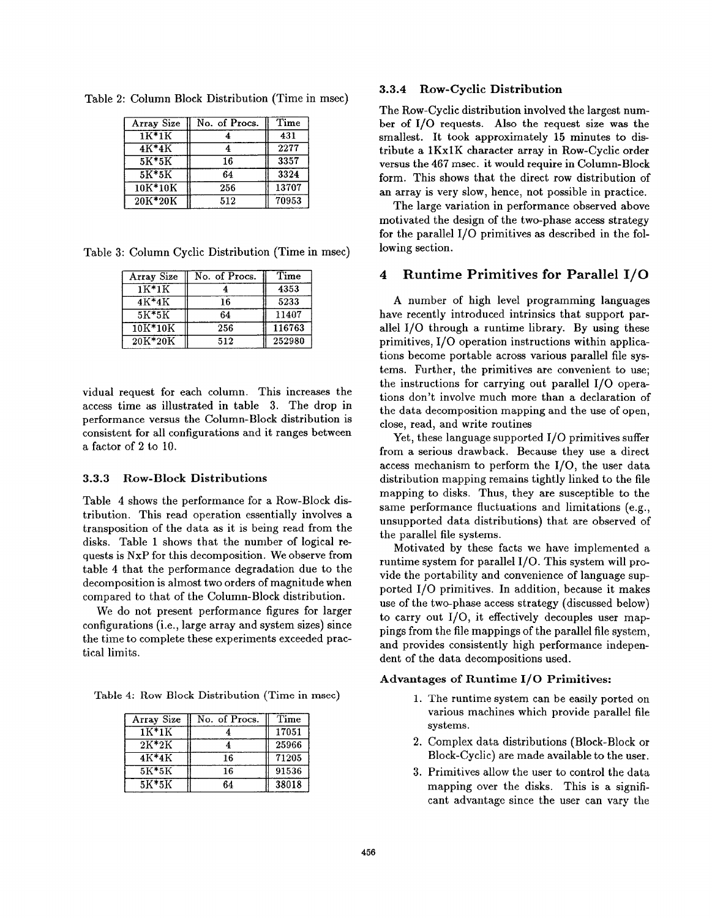| Array Size | No. of Procs. | Time  |
|------------|---------------|-------|
| $1K*1K$    |               | 431   |
| $4K*4K$    |               | 2277  |
| $5K*5K$    | 16            | 3357  |
| $5K*5K$    | 64            | 3324  |
| $10K*10K$  | 256           | 13707 |
| 20K*20K    | 512           | 70953 |

Table 2: Column Block Distribution (Time in msec)

Table 3: Column Cyclic Distribution (Time in msec)

| Array Size | No. of Procs. | Time   |
|------------|---------------|--------|
| $1K*1K$    |               | 4353   |
| 4K*4K      | 16            | 5233   |
| $5K*5K$    | 64            | 11407  |
| $10K*10K$  | 256           | 116763 |
| 20K*20K    | 512           | 252980 |

vidual request for each column. This increases the access time as illustrated in table 3. The drop in performance versus the Column-Block distribution is consistent for all configurations and it ranges between a factor of 2 to 10.

#### 3.3.3 Row-Block Distributions

Table 4 shows the performance for a Row-Block distribution. This read operation essentially involves a transposition of the data as it is being read from the disks. Table 1 shows that the number of logical requests is NxP for this decomposition. We observe from table 4 that the performance degradation due to the decomposition is almost two orders of magnitude when compared to that of the Column-Block distribution.

We do not present performance figures for larger configurations (i.e., large array and system sizes) since the time to complete these experiments exceeded practical limits.

Table 4: Row Block Distribution (Time in msec)

| Array Size | No. of Procs. | Time  |
|------------|---------------|-------|
| $1K*1K$    |               | 17051 |
| $2K*2K$    |               | 25966 |
| 4K*4K      | 16            | 71205 |
| $5K*5K$    | 16            | 91536 |
| $5K*5K$    | 64            | 38018 |

## 3.3.4 Row-Cyclic Distribution

The Row-Cyclic distribution involved the largest number of 1/0 requests. Also the request size was the smallest. It took approximately 15 minutes to distribute a lKxIK character array in Row-Cyclic order versus the 467 msec. it would require in Column-Block form. This shows that the direct row distribution of an array is very slow, hence, not possible in practice.

The large variation in performance observed above motivated the design of the two-phase access strategy for the parallel 1/0 primitives as described in the following section.

#### 4 Runtime Primitives for Parallel 1/0

A number of high level programming languages have recently introduced intrinsics that support parallel 1/0 through a runtime library. By using these primitives, 1/0 operation instructions within applications become portable across various parallel file systems. Further, the primitives are convenient to use; the instructions for carrying out parallel 1/0 operations don't involve much more than a declaration of the data decomposition mapping and the use of open, close, read, and write routines

Yet, these language supported 1/0 primitives suffer from a serious drawback. Because they use a direct access mechanism to perform the 1/0, the user data distribution mapping remains tightly linked to the file mapping to disks. Thus, they are susceptible to the same performance fluctuations and limitations (e.g., unsupported data distributions) that are observed of the parallel file systems.

Motivated by these facts we have implemented a runtime system for parallel 1/0. This system will provide the portability and convenience of language supported 1/0 primitives. In addition, because it makes use of the two-phase access strategy (discussed below) to carry out 1/0, it effectively decouples user mappings from the file mappings of the parallel file system, and provides consistently high performance independent of the data decompositions used.

#### Advantages of Runtime I/O Primitives:

- 1. The runtime system can be easily ported on various machines which provide parallel file systems.
- 2. Complex data distributions (Block-Block or Block-Cyclic) are made available to the user.
- 3. Primitives allow the user to control the dat mapping over the disks. This is a significant advantage since the user can vary the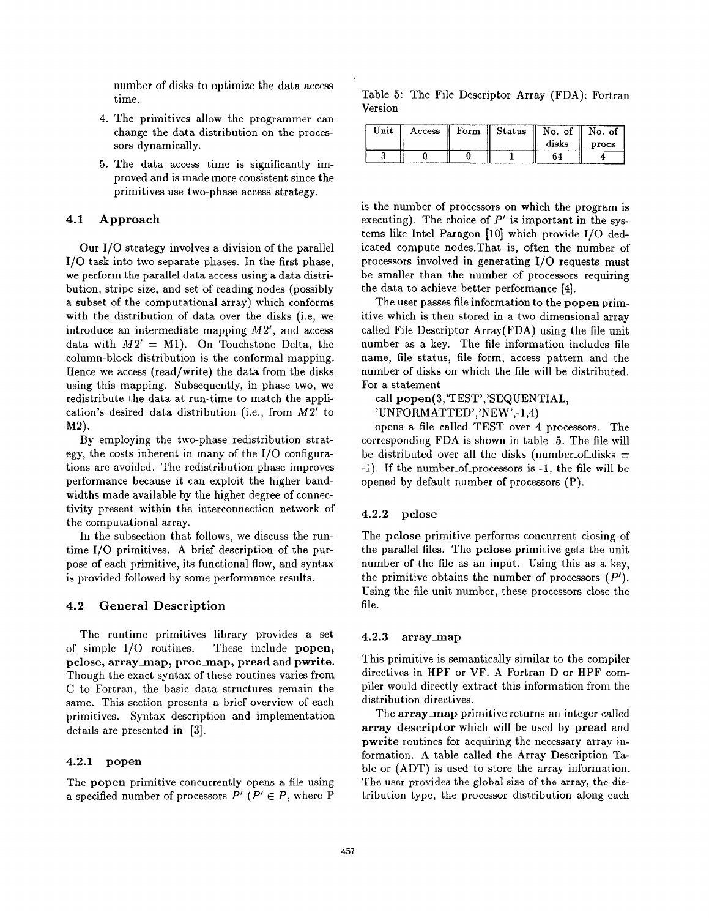number of disks to optimize the data access time.

- 4. The primitives allow the programmer can change the data distribution on the processors dynamically.
- 5. The data access time is significantly improved and is made more consistent since the primitives use two-phase access strategy.

#### 4.1 Approach

Our 1/0 strategy involves a division of the parallel 1/0 task into two separate phases. In the first phase, we perform the parallel data access using a data distribution, stripe size, and set of reading nodes (possibly a subset of the computational array) which conforms with the distribution of data over the disks (i.e, we introduce an intermediate mapping  $M2'$ , and access data with  $M2' = M1$ ). On Touchstone Delta, the column-block distribution is the conformal mapping. Hence we access (read/write) the data from the disks using this mapping. Subsequently, in phase two, we redistribute the data at run-time to match the application's desired data distribution (i.e., from M2' to M2).

By employing the two-phase redistribution strategy, the costs inherent in many of the 1/0 configurations are avoided. The redistribution phase improves performance because it can exploit the higher bandwidths made available by the higher degree of connectivity present within the interconnection network of the computational array.

In the subsection that follows, we discuss the runtime 1/0 primitives. A brief description of the purpose of each primitive, its functional flow, and syntax is provided followed by some performance results.

#### 4.2 General Description

The runtime primitives library provides a set of simple 1/0 routines. These include popen, pclose, array\_map, proc\_map, pread and pwrite. Though the exact syntax of these routines varies from C to Fortran, the basic data structures remain the same. This section presents a brief overview of each primitives. Syntax description and implementation details are presented in [3].

#### 4.2.1 popen

The popen primitive concurrently opens a file using a specified number of processors  $P'$  ( $P' \in P$ , where P

Table 5: The File Descriptor Array (FDA): Fortran Version

| 'Jnit | Access | Form | $\parallel$ Status | No. of | No. of |
|-------|--------|------|--------------------|--------|--------|
|       |        |      |                    | disks  | procs  |
|       |        |      |                    |        |        |

is the number of processors on which the program is executing). The choice of  $P'$  is important in the systems like Intel Paragon [10] which provide 1/0 dedicated compute nodes.That is, often the number of processors involved in generating 1/0 requests must be smaller than the number of processors requiring the data to achieve better performance [4].

The user passes file information to the popen primitive which is then stored in a two dimensional array called File Descriptor Array (FDA) using the file unit number as a key. The file information includes file name, file status, file form, access pattern and the number of disks on which the file will be distributed. For a statement

call popen(3,'TEST','SEQUENTIAL,

'UNFORMATTED','NEW',-1,4)

opens a file called TEST over 4 processors. The corresponding FDA is shown in table 5. The file will be distributed over all the disks (number-of-disks  $=$ -1). If the number.of.processors is -1, the file will be opened by default number of processors (P).

#### 4.2.2 pclose

The pclose primitive performs concurrent closing of the parallel files. The pclose primitive gets the unit number of the file as an input. Using this as a key, the primitive obtains the number of processors  $(P')$ . Using the file unit number, these processors close the file.

### 4.2.3 array map

This primitive is semantically similar to the compiler directives in HPF or VF. A Fortran D or HPF compiler would directly extract this information from the distribution directives.

The array map primitive returns an integer called array descriptor which will be used by pread and pwrite routines for acquiring the necessary array information. A table called the Array Description Table or (ADT) is used to store the array information. The user provides the global size of the array, the distribution type, the processor distribution along each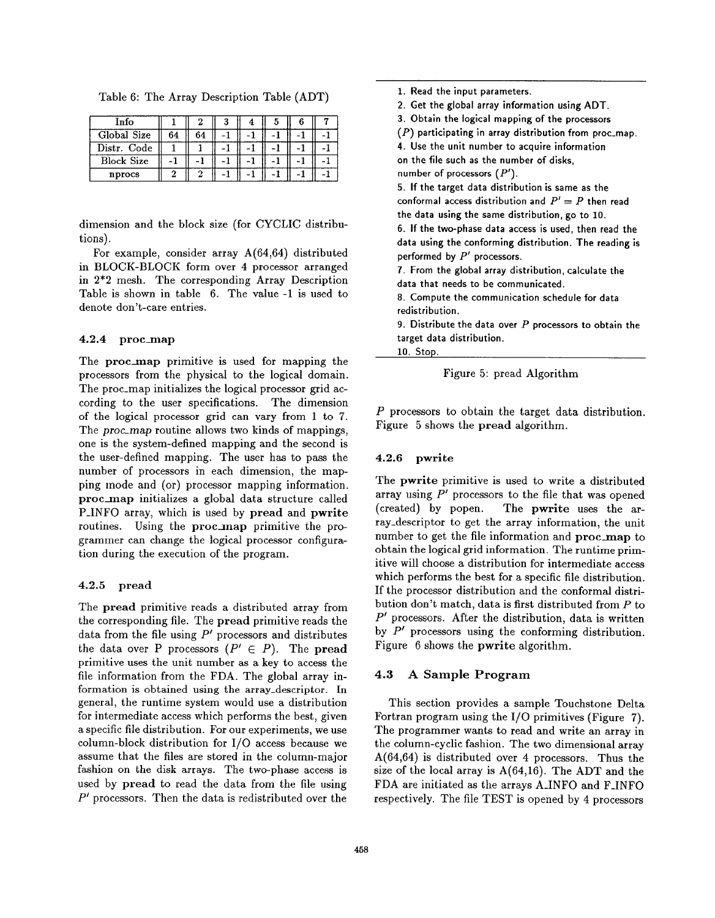Table 6: The Array Description Table (ADT)

| Info              |    |    |  |  |  |
|-------------------|----|----|--|--|--|
| Global Size       | 64 | 64 |  |  |  |
| Distr. Code       |    |    |  |  |  |
| <b>Block Size</b> |    |    |  |  |  |
| nprocs            |    |    |  |  |  |

dimension and the block size (for CYCLIC distributions).

For example, consider array A(64,64) distributed in BLOCK-BLOCK form over 4 processor arranged in 2\*2 mesh. The corresponding Array Description Table is shown in table 6. The value -1 is used to denote don't-care entries.

#### 4.2.4 proc-map

The proc\_map primitive is used for mapping the processors from the physical to the logical domain. The proc-map initializes the logical processor grid according to the user specifications. The dimension of the logical processor grid can vary from 1 to 7. The proc.map routine allows two kinds of mappings, one is the system-defined mapping and the second is the user-defined mapping. The user has to pass the number of processors in each dimension, the mapping mode and (or) processor mapping information. proc\_map initializes a global data structure called P-INFO array, which is used by pread and pwrite routines. Using the proc\_map primitive the programmer can change the logical processor configuration during the execution of the program.

#### 4.2.5 pread

The pread primitive reads a distributed array from the corresponding file. The pread primitive reads the data from the file using  $P'$  processors and distributes the data over P processors  $(P' \in P)$ . The **pread** primitive uses the unit number as a key to access the file information from the FDA. The global array information is obtained using the array-descriptor. In general, the runtime system would use a distribution for intermediate access which performs the best, given a specific file distribution. For our experiments, we use column-block distribution for  $I/O$  access because we assume that the files are stored in the column-major fashion on the disk arrays. The two-phase access is used by pread to read the data from the file using  $P'$  processors. Then the data is redistributed over the

1. Read the input parameters. 2. Get the global array information using ADT. 3. Obtain the logical mapping of the processors  $(P)$  participating in array distribution from proc\_map. 4. Use the unit number to acquire information on the file such as the number of disks, number of processors  $(P')$ . 5. If the target data distribution is same as the conformal access distribution and  $P' = P$  then read the data using the same distribution, go to 10. 6. If the two-phase data access is used, then read the data using the conforming distribution. The reading is performed by  $P'$  processors. 7. From the global array distribution, calculate the data that needs to be communicated. 8. Compute the communication schedule for data redistribution. 9. Distribute the data over  $P$  processors to obtain the target data distribution. 10. stop.

Figure 5: pread Algorithm

P processors to obtain the target data distribution. Figure 5 shows the pread algorithm.

#### 4.2.6 pwrite

The pwrite primitive is used to write a distributed array using  $P'$  processors to the file that was opened (created) by popen. The pwrite uses the array-descriptor to get the array information, the unit number to get the file information and proc\_map to obtain the logical grid information. The runtime primitive will choose a distribution for intermediate access which performs the best for a specific file distribution. If the processor distribution and the conformal distribution don't match, data is first distributed from P to  $P'$  processors. After the distribution, data is written by  $P'$  processors using the conforming distribution. Figure 6 shows the pwrite algorithm.

### 4.3 A Sample Program

This section provides a sample Touchstone Delta Fortran program using the 1/0 primitives (Figure 7). The programmer wants to read and write an array in the column-cyclic fashion. The two dimensional array A(64,64) is distributed over 4 processors. Thus the size of the local array is  $A(64,16)$ . The ADT and the FDA are initiated as the arrays A.INFO and FJNFO respectively. The file TEST is opened by 4 processors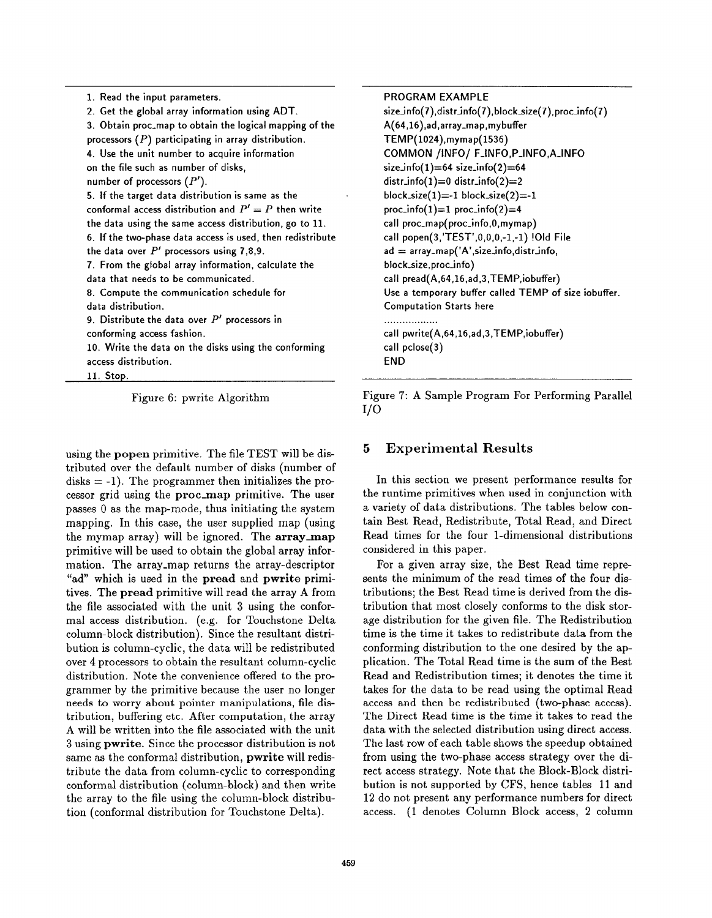| 1. Read the input parameters.                              |
|------------------------------------------------------------|
| 2. Get the global array information using ADT.             |
| 3. Obtain proc_map to obtain the logical mapping of the    |
| processors $(P)$ participating in array distribution.      |
| 4. Use the unit number to acquire information              |
| on the file such as number of disks,                       |
| number of processors $(P')$ .                              |
| 5. If the target data distribution is same as the          |
| conformal access distribution and $P' = P$ then write      |
| the data using the same access distribution, go to 11.     |
| 6. If the two-phase data access is used, then redistribute |
| the data over $P'$ processors using 7,8,9.                 |
| 7. From the global array information, calculate the        |
| data that needs to be communicated.                        |
| 8. Compute the communication schedule for                  |
| data distribution.                                         |
| 9. Distribute the data over $P'$ processors in             |
| conforming access fashion.                                 |
| 10. Write the data on the disks using the conforming       |
| access distribution.                                       |

11. stop.

Figure 6: pwrite Algorithm

using the popen primitive. The file TEST will be distributed over the default number of disks (number of  $disks = -1$ ). The programmer then initializes the processor grid using the proc-map primitive. The user passes O as the map-mode, thus initiating the system mapping. In this case, the user supplied map (using the mymap array) will be ignored. The  $array_m$ primitive will be used to obtain the global array information. The array-map returns the array-descriptor "ad" which is used in the pread and pwrite primitives. The pread primitive will read the array A from the file associated with the unit 3 using the conformal access distribution. (e.g. for Touchstone Delta column-block distribution). Since the resultant distribution is column-cyclic, the data will be redistributed over 4 processors to obtain the resultant column-cyclic distribution. Note the convenience offered to the programmer by the primitive because the user no longer needs to worry about pointer manipulations, file distribution, buffering etc. After computation, the array A will be written into the file associated with the unit 3 using pwrite. Since the processor distribution is not same aa the conformal distribution, pwrite will redistribute the data from column-cyclic to corresponding conformal distribution (column-block) and then write the array to the file using the column-block distribution (conformal distribution for Touchstone Delta).

#### PROGRAM EXAMPLE

```
size_info(7),distr_info(7),block_size(7),proc_info(7)
A(64,16),ad,array-map, mybuffer
TEMP(1024),mymap( 1536)
COMMON /iNFO/ F-INFO, P-INFO, A.INFO
size_info(1)=64 size_info(2)=64distr_info(1)=0 distr_info(2)=2
block_size(1) = -1 block_size(2) = -1proc_info(1)=1 proc_info(2)=4call proc_map(proc_info, 0, mymap)
call popen(3,'TEST',0,0,0,-1,-1) !Old File
ad = array_map('A',size_info,distrib,of)block-size, proc-info)
call pread(A,64,16,ad,3, TEMP,iobuffer)
Use a temporary buffer called TEMP of size iobuffer.
Computation Starts here
..................
call pwrite(A,64,16, ad,3,TEMP,iobuffer)
call pclose(3)
END
```
Figure 7: A Sample Program For Performing Parallel  $1/O$ 

# 5 Experimental Results

In this section we present performance results for the runtime primitives when used in conjunction with a variety of data distributions. The tables below contain Best Read, Redistribute, Total Read, and Direct Read times for the four l-dimensional distributions considered in this paper.

For a given array size, the Best Read time represents the minimum of the read times of the four distributions; the Best Read time is derived from the distribution that most closely conforms to the disk storage distribution for the given file. The Redistribution time is the time it takes to redistribute data from the conforming distribution to the one desired by the application. The Total Read time is the sum of the Best Read and Redistribution times; it denotes the time it takes for the data to be read using the optimal Read access and then be redistributed (two-phase access). The Direct Read time is the time it takes to read the data with the selected distribution using direct access. The last row of each table shows the speedup obtained from using the two-phase access strategy over the direct access strategy. Note that the Block-Block distribution is not supported by CFS, hence tables 11 and 12 do not present any performance numbers for direct access. (1 denotes Column Block access, 2 column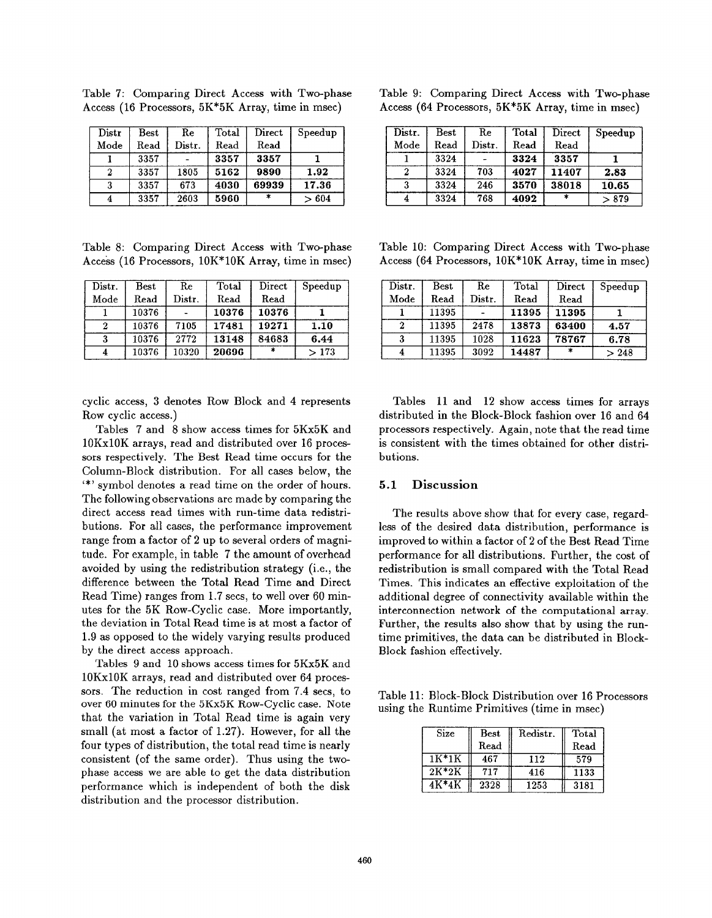| Distr            | Best | Re              | Total | Direct | Speedup |
|------------------|------|-----------------|-------|--------|---------|
| Mode             | Read | $_{\rm Distr.}$ | Read  | Read   |         |
|                  | 3357 |                 | 3357  | 3357   |         |
| $\boldsymbol{2}$ | 3357 | 1805            | 5162  | 9890   | 1.92    |
| 3                | 3357 | 673             | 4030  | 69939  | 17.36   |
|                  | 3357 | 2603            | 5960  | $\ast$ | >604    |

Table 7: Comparing Direct Access with Two-phase Access (16 Processors, 5K\*5K Array, time in msec)

Table 8: Comparing Direct Access with Two-phase Access (16 Processors,  $10K*10K$  Array, time in msec)

| Distr. | $_{\rm Best}$ | Re     | Total | Direct  | Speedup |
|--------|---------------|--------|-------|---------|---------|
| Mode   | Read          | Distr. | Read  | Read    |         |
|        | 10376         |        | 10376 | 10376   |         |
|        | 10376         | 7105   | 17481 | 19271   | 1.10    |
| 3      | 10376         | 2772   | 13148 | 84683   | 6.44    |
|        | 10376         | 10320  | 20696 | $\star$ | >173    |

cyclic access, 3 denotes Row Block and 4 represents Row cyclic access.)

Tables 7 and 8 show access times for 5Kx5K and 10 Kx1OK arrays, read and distributed over 16 processors respectively. The Best Read time occurs for the Column-Block distribution. For all cases below, the '\*' symbol denotes a read time on the order of hours. The following observations are made by comparing the direct access read times with run-time data redistribution. For all cases, the performance improvement range from a factor of 2 up to several orders of magnitude. For example, in table 7 the amount of overhead avoided by using the redistribution strategy (i.e., the difference between the Total Read Time and Direct Read Time) ranges from 1.7 secs, to well over 60 minutes for the 5K Row-Cyclic case. More importantly, the deviation in Total Read time is at most a factor of 1.9 as opposed to the widely varying results produced by the direct access approach.

Tables 9 and 10 shows access times for 5Kx5K and 10 Kx1OK arrays, read and distributed over 64 processors. The reduction in cost ranged from 7.4 secs, to over 60 minutes for the 5Kx5K Row-Cyclic case. Note that the variation in Total Read time is again very small (at most a factor of 1.27). However, for all the four types of distribution, the total read time is nearly consistent (of the same order). Thus using the twophase access we are able to get the data distribution performance which is independent of both the disk distribution and the processor distribution.

| Table 9: Comparing Direct Access with Two-phase     |  |  |
|-----------------------------------------------------|--|--|
| Access (64 Processors, $5K*5K$ Array, time in msec) |  |  |

| Distr. | Best | Re     | Total | Direct | Speedup |
|--------|------|--------|-------|--------|---------|
| Mode   | Read | Distr. | Read  | Read   |         |
|        | 3324 |        | 3324  | 3357   |         |
|        | 3324 | 703    | 4027  | 11407  | 2.83    |
| 3      | 3324 | 246    | 3570  | 38018  | 10.65   |
| 4      | 3324 | 768    | 4092  | ж      | > 879   |

Table 10: Comparing Direct Access with Two-phase Access (64 Processors,  $10K*10K$  Array, time in msec)

| Distr. | Best  | Re     | Total | Direct | Speedup |
|--------|-------|--------|-------|--------|---------|
| Mode   | Read  | Distr. | Read  | Read   |         |
|        | 11395 |        | 11395 | 11395  |         |
|        | 11395 | 2478   | 13873 | 63400  | 4.57    |
| 3      | 11395 | 1028   | 11623 | 78767  | 6.78    |
|        | 11395 | 3092   | 14487 |        | > 248   |

Tables 11 and 12 show access times for arrays distributed in the Block-Block fashion over 16 and 64 processors respectively. Again, note that the read time is consistent with the times obtained for other distributions.

### 5.1 Discussion

The results above show that for every case, regardless of the desired data distribution, performance is improved to within a factor of 2 of the Best Read Time performance for all distributions. Further, the cost of redistribution is small compared with the Total Read Times. This indicates an effective exploitation of the additional degree of connectivity available within the interconnection network of the computational array. Further, the results also show that by using the runtime primitives, the data can be distributed in Block-Block fashion effectively.

Table 11: Block-Block Distribution over 16 Processors using the Runtime Primitives (time in msec)

| Size    | Best | Redistr. | Total |
|---------|------|----------|-------|
|         | Read |          | Read  |
| $1K*1K$ | 467  | 112      | 579   |
| $2K*2K$ | 717  | 416      | 1133  |
| 4K*4K   | 2328 | 1253     | 3181  |